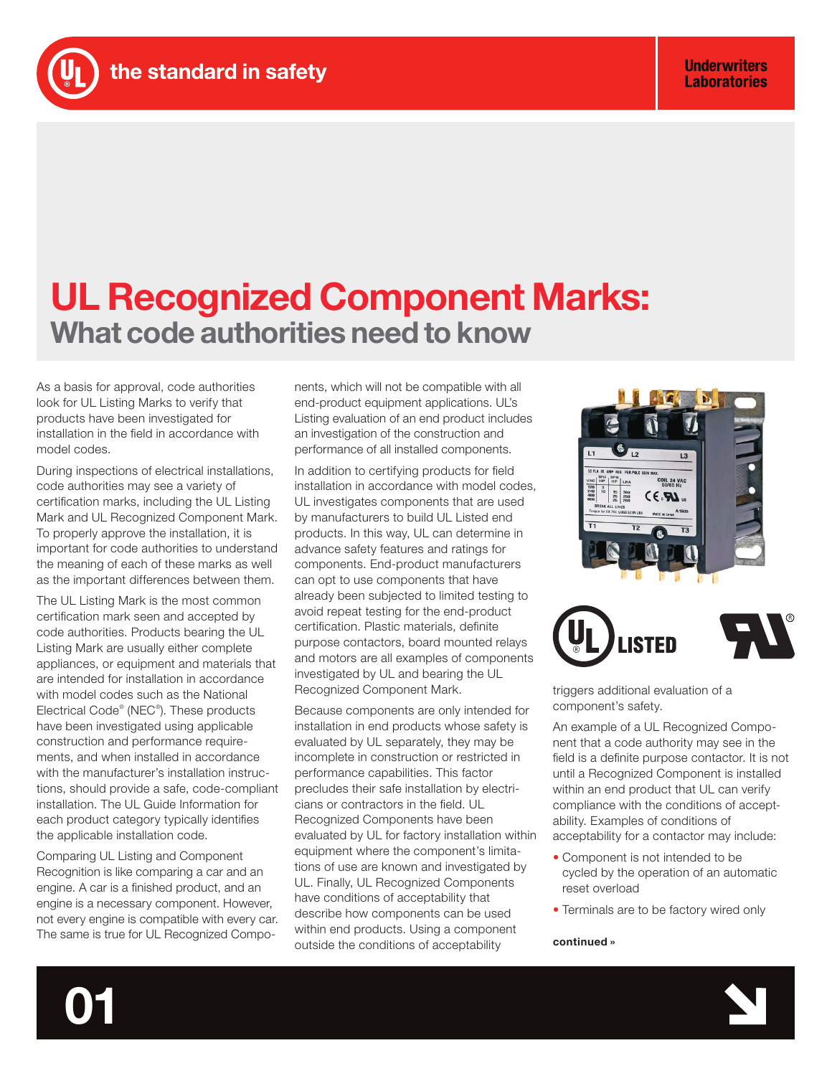## **UL Recognized Component Marks: What code authorities need to know**

As a basis for approval, code authorities look for UL Listing Marks to verify that products have been investigated for installation in the field in accordance with model codes.

During inspections of electrical installations, code authorities may see a variety of certification marks, including the UL Listing Mark and UL Recognized Component Mark. To properly approve the installation, it is important for code authorities to understand the meaning of each of these marks as well as the important differences between them.

The UL Listing Mark is the most common certification mark seen and accepted by code authorities. Products bearing the UL Listing Mark are usually either complete appliances, or equipment and materials that are intended for installation in accordance with model codes such as the National Electrical Code® (NEC® ). These products have been investigated using applicable construction and performance requirements, and when installed in accordance with the manufacturer's installation instructions, should provide a safe, code-compliant installation. The UL Guide Information for each product category typically identifies the applicable installation code.

Comparing UL Listing and Component Recognition is like comparing a car and an engine. A car is a finished product, and an engine is a necessary component. However, not every engine is compatible with every car. The same is true for UL Recognized Compo-

**01**

nents, which will not be compatible with all end-product equipment applications. UL's Listing evaluation of an end product includes an investigation of the construction and performance of all installed components.

In addition to certifying products for field installation in accordance with model codes, UL investigates components that are used by manufacturers to build UL Listed end products. In this way, UL can determine in advance safety features and ratings for components. End-product manufacturers can opt to use components that have already been subjected to limited testing to avoid repeat testing for the end-product certification. Plastic materials, definite purpose contactors, board mounted relays and motors are all examples of components investigated by UL and bearing the UL Recognized Component Mark.

Because components are only intended for installation in end products whose safety is evaluated by UL separately, they may be incomplete in construction or restricted in performance capabilities. This factor precludes their safe installation by electricians or contractors in the field. UL Recognized Components have been evaluated by UL for factory installation within equipment where the component's limitations of use are known and investigated by UL. Finally, UL Recognized Components have conditions of acceptability that describe how components can be used within end products. Using a component outside the conditions of acceptability





triggers additional evaluation of a component's safety.

An example of a UL Recognized Component that a code authority may see in the field is a definite purpose contactor. It is not until a Recognized Component is installed within an end product that UL can verify compliance with the conditions of acceptability. Examples of conditions of acceptability for a contactor may include:

- Component is not intended to be cycled by the operation of an automatic reset overload
- Terminals are to be factory wired only

**continued »**